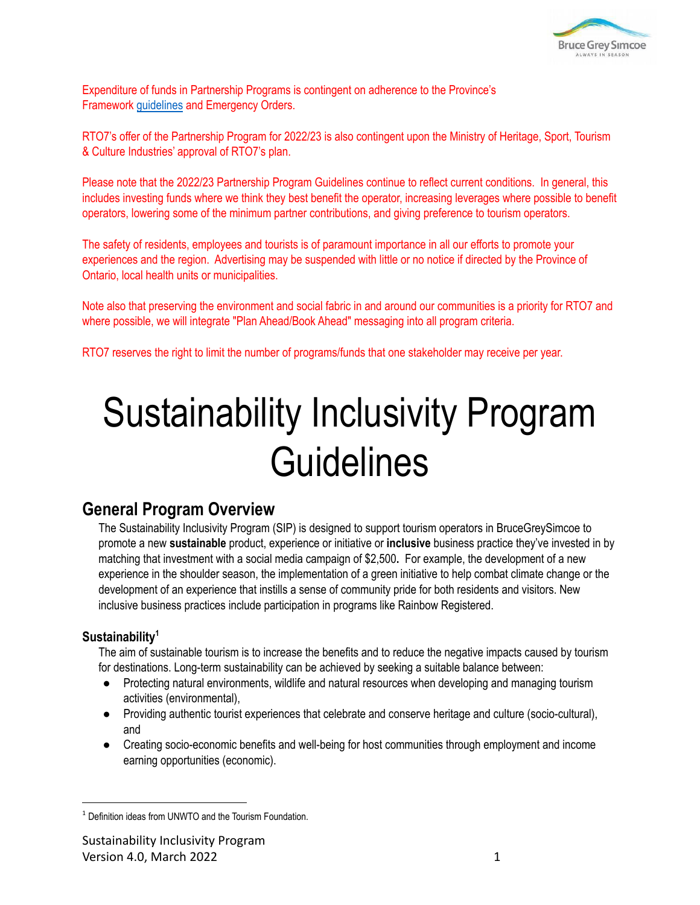

Expenditure of funds in Partnership Programs is contingent on adherence to the Province's Framework [guidelines](https://covid-19.ontario.ca/public-health-measures) and Emergency Orders.

RTO7's offer of the Partnership Program for 2022/23 is also contingent upon the Ministry of Heritage, Sport, Tourism & Culture Industries' approval of RTO7's plan.

Please note that the 2022/23 Partnership Program Guidelines continue to reflect current conditions. In general, this includes investing funds where we think they best benefit the operator, increasing leverages where possible to benefit operators, lowering some of the minimum partner contributions, and giving preference to tourism operators.

The safety of residents, employees and tourists is of paramount importance in all our efforts to promote your experiences and the region. Advertising may be suspended with little or no notice if directed by the Province of Ontario, local health units or municipalities.

Note also that preserving the environment and social fabric in and around our communities is a priority for RTO7 and where possible, we will integrate "Plan Ahead/Book Ahead" messaging into all program criteria.

RTO7 reserves the right to limit the number of programs/funds that one stakeholder may receive per year.

# Sustainability Inclusivity Program **Guidelines**

## **General Program Overview**

The Sustainability Inclusivity Program (SIP) is designed to support tourism operators in BruceGreySimcoe to promote a new **sustainable** product, experience or initiative or **inclusive** business practice they've invested in by matching that investment with a social media campaign of \$2,500**.** For example, the development of a new experience in the shoulder season, the implementation of a green initiative to help combat climate change or the development of an experience that instills a sense of community pride for both residents and visitors. New inclusive business practices include participation in programs like Rainbow Registered.

## **Sustainability<sup>1</sup>**

The aim of sustainable tourism is to increase the benefits and to reduce the negative impacts caused by tourism for destinations. Long-term sustainability can be achieved by seeking a suitable balance between:

- Protecting natural environments, wildlife and natural resources when developing and managing tourism activities (environmental),
- Providing authentic tourist experiences that celebrate and conserve heritage and culture (socio-cultural), and
- Creating socio-economic benefits and well-being for host communities through employment and income earning opportunities (economic).

<sup>&</sup>lt;sup>1</sup> Definition ideas from UNWTO and the Tourism Foundation.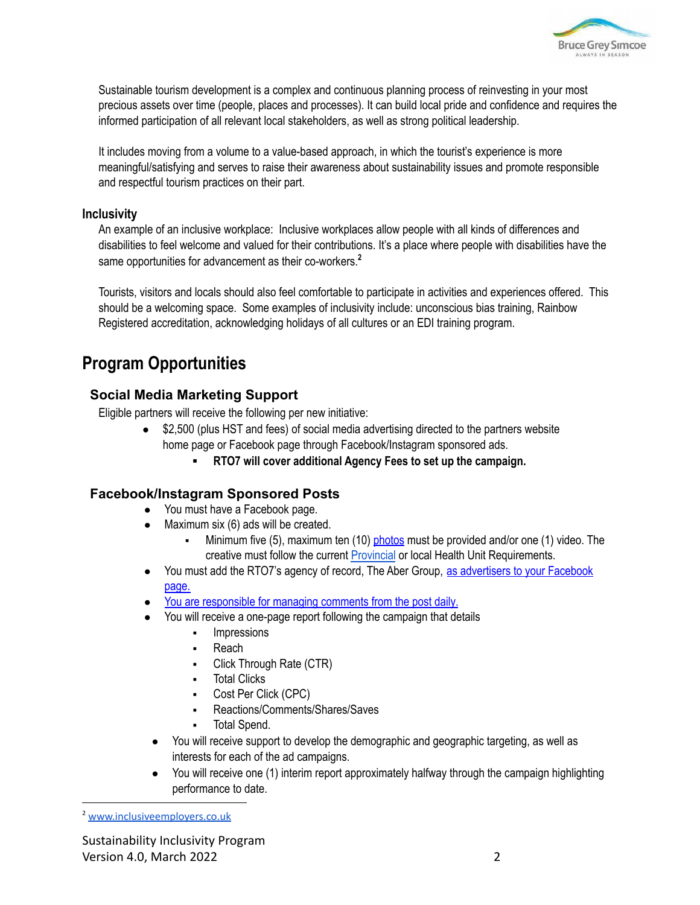

Sustainable tourism development is a complex and continuous planning process of reinvesting in your most precious assets over time (people, places and processes). It can build local pride and confidence and requires the informed participation of all relevant local stakeholders, as well as strong political leadership.

It includes moving from a volume to a value-based approach, in which the tourist's experience is more meaningful/satisfying and serves to raise their awareness about sustainability issues and promote responsible and respectful tourism practices on their part.

#### **Inclusivity**

An example of an inclusive workplace: Inclusive workplaces allow people with all kinds of differences and disabilities to feel welcome and valued for their contributions. It's a place where people with disabilities have the same opportunities for advancement as their co-workers. **2**

Tourists, visitors and locals should also feel comfortable to participate in activities and experiences offered. This should be a welcoming space. Some examples of inclusivity include: unconscious bias training, Rainbow Registered accreditation, acknowledging holidays of all cultures or an EDI training program.

# **Program Opportunities**

## **Social Media Marketing Support**

Eligible partners will receive the following per new initiative:

- \$2,500 (plus HST and fees) of social media advertising directed to the partners website home page or Facebook page through Facebook/Instagram sponsored ads.
	- **RTO7 will cover additional Agency Fees to set up the campaign.**

#### **Facebook/Instagram Sponsored Posts**

- You must have a Facebook page.
- $\bullet$  Maximum six (6) ads will be created.
	- Minimum five (5), maximum ten (10)  $photos$  must be provided and/or one (1) video. The creative must follow the current [Provincial](https://covid-19.ontario.ca/covid-19-help-businesses-ontario) or local Health Unit Requirements.
- You must add the RTO7's agency of record, The Aber Group, as [advertisers](https://rto7.ca/Public/Programs/Resource-Guide-en#HowAddtoAdsManagerFB) to your Facebook [page.](https://rto7.ca/Public/Programs/Resource-Guide-en#HowAddtoAdsManagerFB)
- You are [responsible](http://cms.rto7.ca/Public/Programs/Resource-Guide#SocialMedia) for managing comments from the post daily.
- You will receive a one-page report following the campaign that details
	- Impressions
	- **Reach**
	- Click Through Rate (CTR)
	- **Total Clicks**
	- Cost Per Click (CPC)
	- Reactions/Comments/Shares/Saves
	- Total Spend.
	- You will receive support to develop the demographic and geographic targeting, as well as interests for each of the ad campaigns.
	- You will receive one (1) interim report approximately halfway through the campaign highlighting performance to date.

<sup>2</sup> [www.inclusiveemployers.co.uk](http://www.inclusiveemployers.co.uk)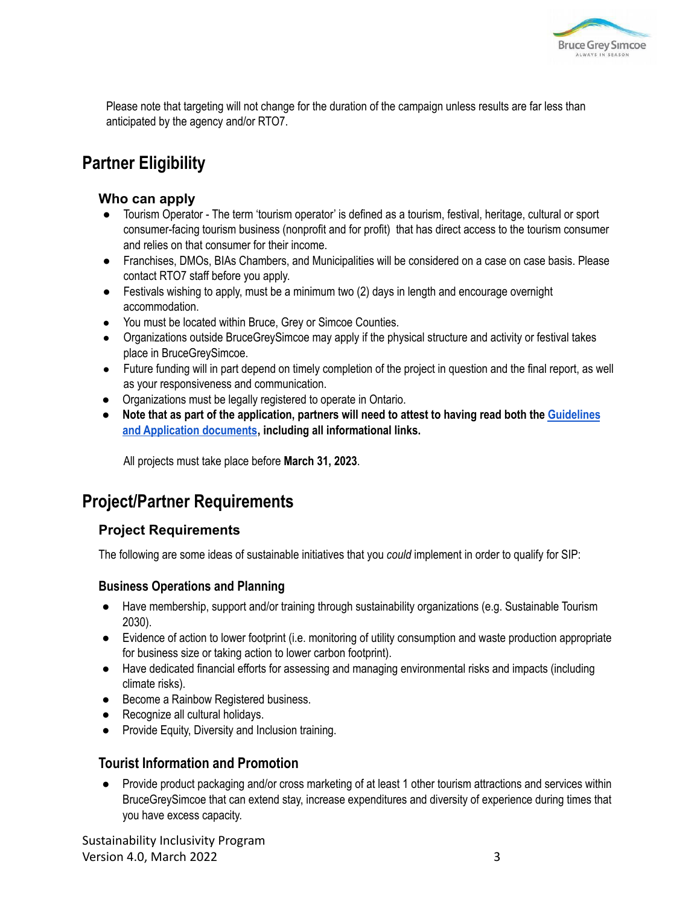

Please note that targeting will not change for the duration of the campaign unless results are far less than anticipated by the agency and/or RTO7.

# **Partner Eligibility**

### **Who can apply**

- Tourism Operator The term 'tourism operator' is defined as a tourism, festival, heritage, cultural or sport consumer-facing tourism business (nonprofit and for profit) that has direct access to the tourism consumer and relies on that consumer for their income.
- Franchises, DMOs, BIAs Chambers, and Municipalities will be considered on a case on case basis. Please contact RTO7 staff before you apply.
- Festivals wishing to apply, must be a minimum two (2) days in length and encourage overnight accommodation.
- You must be located within Bruce, Grey or Simcoe Counties.
- Organizations outside BruceGreySimcoe may apply if the physical structure and activity or festival takes place in BruceGreySimcoe.
- Future funding will in part depend on timely completion of the project in question and the final report, as well as your responsiveness and communication.
- Organizations must be legally registered to operate in Ontario.
- Note that as part of the application, partners will need to attest to having read both the [Guidelines](http://cms.rto7.ca/Public/Resources/Resource-Guide#ReviewMatrix) **and [Application](http://cms.rto7.ca/Public/Resources/Resource-Guide#ReviewMatrix) documents, including all informational links.**

All projects must take place before **March 31, 2023**.

# **Project/Partner Requirements**

## **Project Requirements**

The following are some ideas of sustainable initiatives that you *could* implement in order to qualify for SIP:

#### **Business Operations and Planning**

- Have membership, support and/or training through sustainability organizations (e.g. Sustainable Tourism 2030).
- Evidence of action to lower footprint (i.e. monitoring of utility consumption and waste production appropriate for business size or taking action to lower carbon footprint).
- Have dedicated financial efforts for assessing and managing environmental risks and impacts (including climate risks).
- Become a Rainbow Registered business.
- Recognize all cultural holidays.
- Provide Equity, Diversity and Inclusion training.

## **Tourist Information and Promotion**

● Provide product packaging and/or cross marketing of at least 1 other tourism attractions and services within BruceGreySimcoe that can extend stay, increase expenditures and diversity of experience during times that you have excess capacity.

Sustainability Inclusivity Program Version 4.0, March 2022 3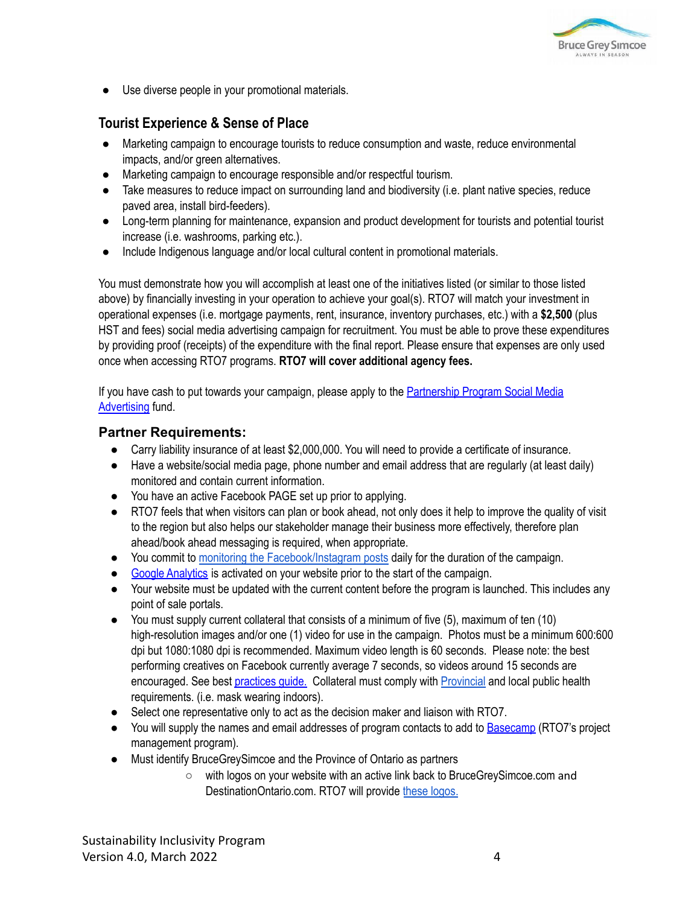

● Use diverse people in your promotional materials.

## **Tourist Experience & Sense of Place**

- Marketing campaign to encourage tourists to reduce consumption and waste, reduce environmental impacts, and/or green alternatives.
- Marketing campaign to encourage responsible and/or respectful tourism.
- Take measures to reduce impact on surrounding land and biodiversity (i.e. plant native species, reduce paved area, install bird-feeders).
- Long-term planning for maintenance, expansion and product development for tourists and potential tourist increase (i.e. washrooms, parking etc.).
- Include Indigenous language and/or local cultural content in promotional materials.

You must demonstrate how you will accomplish at least one of the initiatives listed (or similar to those listed above) by financially investing in your operation to achieve your goal(s). RTO7 will match your investment in operational expenses (i.e. mortgage payments, rent, insurance, inventory purchases, etc.) with a **\$2,500** (plus HST and fees) social media advertising campaign for recruitment. You must be able to prove these expenditures by providing proof (receipts) of the expenditure with the final report. Please ensure that expenses are only used once when accessing RTO7 programs. **RTO7 will cover additional agency fees.**

If you have cash to put towards your campaign, please apply to the [Partnership](https://rto7.ca/Public/Programs/Partnership-Program) Program Social Media [Advertising](https://rto7.ca/Public/Programs/Partnership-Program) fund.

#### **Partner Requirements:**

- Carry liability insurance of at least \$2,000,000. You will need to provide a certificate of insurance.
- Have a website/social media page, phone number and email address that are regularly (at least daily) monitored and contain current information.
- You have an active Facebook PAGE set up prior to applying.
- RTO7 feels that when visitors can plan or book ahead, not only does it help to improve the quality of visit to the region but also helps our stakeholder manage their business more effectively, therefore plan ahead/book ahead messaging is required, when appropriate.
- You commit to monitoring the [Facebook/Instagram](https://rto7.ca/Public/Resources/Resource-Guide#SocialMediaBestPractices) posts daily for the duration of the campaign.
- Google [Analytics](http://cms.rto7.ca/Public/Programs/Resource-Guide#HowSetUpGA) is activated on your website prior to the start of the campaign.
- Your website must be updated with the current content before the program is launched. This includes any point of sale portals.
- You must supply current collateral that consists of a minimum of five (5), maximum of ten (10) high-resolution images and/or one (1) video for use in the campaign. Photos must be a minimum 600:600 dpi but 1080:1080 dpi is recommended. Maximum video length is 60 seconds. Please note: the best performing creatives on Facebook currently average 7 seconds, so videos around 15 seconds are encouraged. See best [practices](http://cms.rto7.ca/Public/Programs/Resource-Guide#FBInstaBestPractices) guide. Collateral must comply with [Provincial](https://covid-19.ontario.ca/covid-19-help-businesses-ontario) and local public health requirements. (i.e. mask wearing indoors).
- Select one representative only to act as the decision maker and liaison with RTO7.
- You will supply the names and email addresses of program contacts to add to [Basecamp](https://rto7.ca/Public/Programs/Resource-Guide#UsingBasecamp3) (RTO7's project management program).
- Must identify BruceGreySimcoe and the Province of Ontario as partners
	- with logos on your website with an active link back to BruceGreySimcoe.com and DestinationOntario.com. RTO7 will provide these [logos.](https://rto7.ca/Public/Programs/Resource-Guide-en#BGS&OntarioLogos)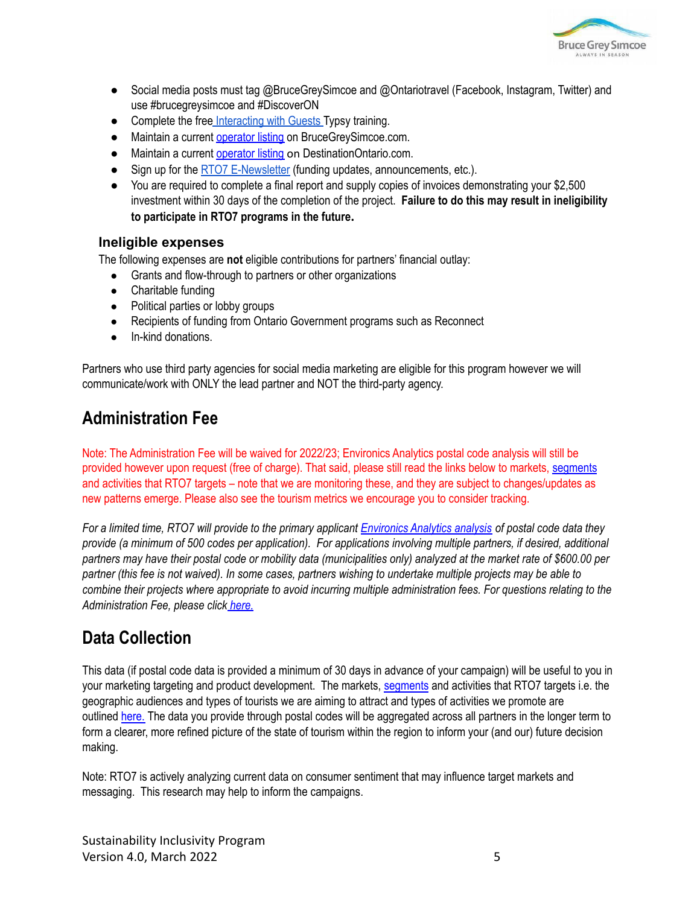

- Social media posts must tag @BruceGreySimcoe and @Ontariotravel (Facebook, Instagram, Twitter) and use #brucegreysimcoe and #DiscoverON
- Complete the free [Interacting](https://rto7.ca/Public/Programs/BruceGreySimcoe-Free-Training) with Guests Typsy training.
- Maintain a current [operator](https://brucegreysimcoe.com/special-pages/operatormanagement/login) listing on BruceGreySimcoe.com.
- Maintain a current [operator](https://docs.google.com/forms/d/e/1FAIpQLScKFv0w0rI5-M993TGqN_i0MsqrPizHB8I5gNO6WWEKgd6Qng/viewform) listing on DestinationOntario.com.
- Sign up for the RTO7 [E-Newsletter](http://rto7.ca/Public/Special-Pages/Mailing-List-Signup) (funding updates, announcements, etc.).
- You are required to complete a final report and supply copies of invoices demonstrating your \$2,500 investment within 30 days of the completion of the project. **Failure to do this may result in ineligibility to participate in RTO7 programs in the future.**

#### **Ineligible expenses**

The following expenses are **not** eligible contributions for partners' financial outlay:

- Grants and flow-through to partners or other organizations
- Charitable funding
- Political parties or lobby groups
- Recipients of funding from Ontario Government programs such as Reconnect
- In-kind donations.

Partners who use third party agencies for social media marketing are eligible for this program however we will communicate/work with ONLY the lead partner and NOT the third-party agency.

# **Administration Fee**

Note: The Administration Fee will be waived for 2022/23; Environics Analytics postal code analysis will still be provided however upon request (free of charge). That said, please still read the links below to markets, [segments](https://rto7.ca/Public/Programs/Resource-Guide#RTO7PrizmSegments) and activities that RTO7 targets – note that we are monitoring these, and they are subject to changes/updates as new patterns emerge. Please also see the tourism metrics we encourage you to consider tracking.

For a limited time, RTO7 will provide to the primary applicant [Environics](https://rto7.ca/Documents/Public/Partnership-Funding-Projects/Sample-Prizm-Report) Analytics analysis of postal code data they provide (a minimum of 500 codes per application). For applications involving multiple partners, if desired, additional partners may have their postal code or mobility data (municipalities only) analyzed at the market rate of \$600.00 per partner (this fee is not waived). In some cases, partners wishing to undertake multiple projects may be able to combine their projects where appropriate to avoid incurring multiple administration fees. For questions relating to the *Administration Fee, please click [here.](https://rto7.ca/Public/Programs/Resource-Guide-en#AdminFeeFAQ)*

# **Data Collection**

This data (if postal code data is provided a minimum of 30 days in advance of your campaign) will be useful to you in your marketing targeting and product development. The markets, [segments](https://rto7.ca/Public/Programs/Resource-Guide#RTO7PrizmSegments) and activities that RTO7 targets i.e. the geographic audiences and types of tourists we are aiming to attract and types of activities we promote are outlined [here.](https://rto7.ca/Public/Programs/Resource-Guide-en#TargetMarkets&Activities) The data you provide through postal codes will be aggregated across all partners in the longer term to form a clearer, more refined picture of the state of tourism within the region to inform your (and our) future decision making.

Note: RTO7 is actively analyzing current data on consumer sentiment that may influence target markets and messaging. This research may help to inform the campaigns.